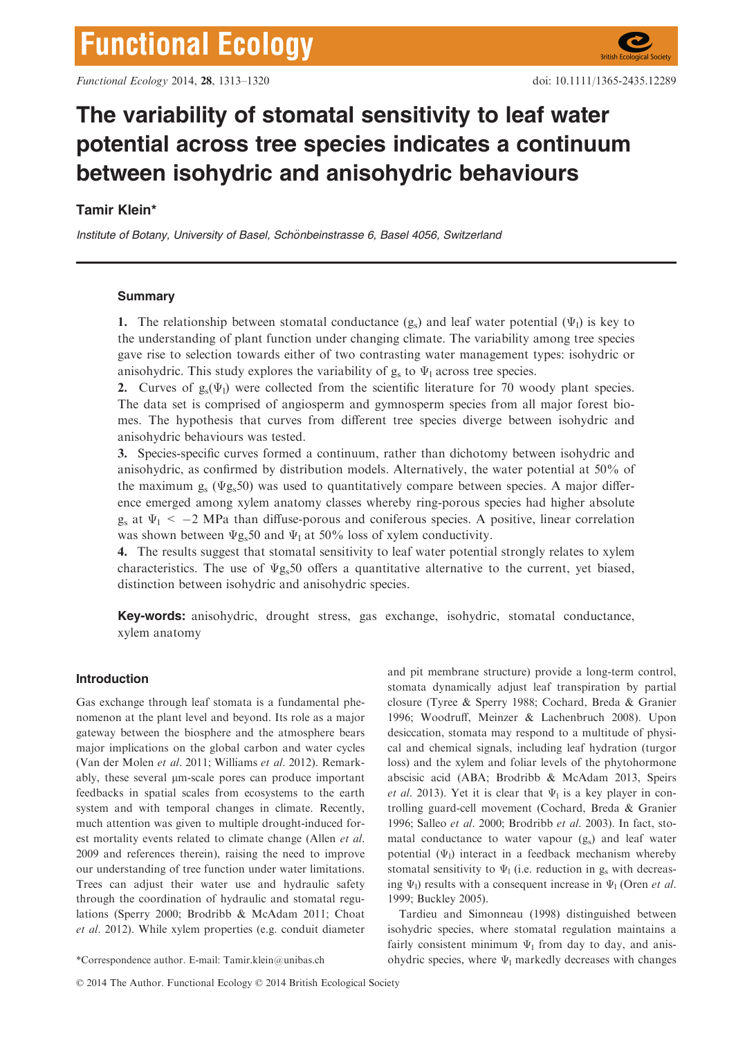# The variability of stomatal sensitivity to leaf water potential across tree species indicates a continuum between isohydric and anisohydric behaviours

## Tamir Klein\*

Institute of Botany, University of Basel, Schönbeinstrasse 6, Basel 4056, Switzerland

## **Summary**

1. The relationship between stomatal conductance  $(g_s)$  and leaf water potential  $(\Psi_l)$  is key to the understanding of plant function under changing climate. The variability among tree species gave rise to selection towards either of two contrasting water management types: isohydric or anisohydric. This study explores the variability of  $g_s$  to  $\Psi_1$  across tree species.

2. Curves of  $g_s(\Psi_l)$  were collected from the scientific literature for 70 woody plant species. The data set is comprised of angiosperm and gymnosperm species from all major forest biomes. The hypothesis that curves from different tree species diverge between isohydric and anisohydric behaviours was tested.

3. Species-specific curves formed a continuum, rather than dichotomy between isohydric and anisohydric, as confirmed by distribution models. Alternatively, the water potential at 50% of the maximum  $g_s$  ( $\Psi g_s$ 50) was used to quantitatively compare between species. A major difference emerged among xylem anatomy classes whereby ring-porous species had higher absolute  $g_s$  at  $\Psi_1 < -2$  MPa than diffuse-porous and coniferous species. A positive, linear correlation was shown between  $\Psi$ g<sub>s</sub>50 and  $\Psi$ <sub>1</sub> at 50% loss of xylem conductivity.

4. The results suggest that stomatal sensitivity to leaf water potential strongly relates to xylem characteristics. The use of  $\Psi$ g<sub>s</sub>50 offers a quantitative alternative to the current, yet biased, distinction between isohydric and anisohydric species.

Key-words: anisohydric, drought stress, gas exchange, isohydric, stomatal conductance, xylem anatomy

## Introduction

Gas exchange through leaf stomata is a fundamental phenomenon at the plant level and beyond. Its role as a major gateway between the biosphere and the atmosphere bears major implications on the global carbon and water cycles (Van der Molen et al. 2011; Williams et al. 2012). Remarkably, these several  $\mu$ m-scale pores can produce important feedbacks in spatial scales from ecosystems to the earth system and with temporal changes in climate. Recently, much attention was given to multiple drought-induced forest mortality events related to climate change (Allen et al. 2009 and references therein), raising the need to improve our understanding of tree function under water limitations. Trees can adjust their water use and hydraulic safety through the coordination of hydraulic and stomatal regulations (Sperry 2000; Brodribb & McAdam 2011; Choat et al. 2012). While xylem properties (e.g. conduit diameter

and pit membrane structure) provide a long-term control, stomata dynamically adjust leaf transpiration by partial closure (Tyree & Sperry 1988; Cochard, Breda & Granier 1996; Woodruff, Meinzer & Lachenbruch 2008). Upon desiccation, stomata may respond to a multitude of physical and chemical signals, including leaf hydration (turgor loss) and the xylem and foliar levels of the phytohormone abscisic acid (ABA; Brodribb & McAdam 2013, Speirs et al. 2013). Yet it is clear that  $\Psi_1$  is a key player in controlling guard-cell movement (Cochard, Breda & Granier 1996; Salleo et al. 2000; Brodribb et al. 2003). In fact, stomatal conductance to water vapour (gs) and leaf water potential  $(\Psi_1)$  interact in a feedback mechanism whereby stomatal sensitivity to  $\Psi_1$  (i.e. reduction in  $g_s$  with decreasing  $\Psi_1$ ) results with a consequent increase in  $\Psi_1$  (Oren *et al.*) 1999; Buckley 2005).

Tardieu and Simonneau (1998) distinguished between isohydric species, where stomatal regulation maintains a fairly consistent minimum  $\Psi_1$  from day to day, and anis-\*Correspondence author. E-mail: Tamir.klein@unibas.ch ohydric species, where Ψ<sub>l</sub> markedly decreases with changes

© 2014 The Author. Functional Ecology © 2014 British Ecological Society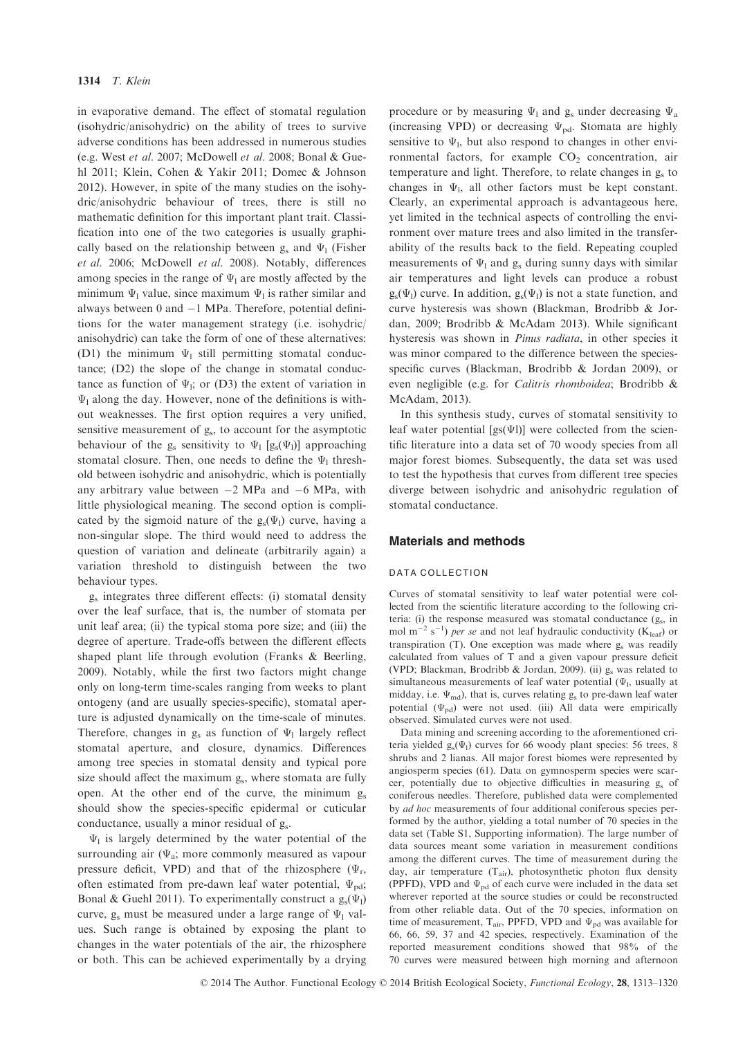in evaporative demand. The effect of stomatal regulation (isohydric/anisohydric) on the ability of trees to survive adverse conditions has been addressed in numerous studies (e.g. West et al. 2007; McDowell et al. 2008; Bonal & Guehl 2011; Klein, Cohen & Yakir 2011; Domec & Johnson 2012). However, in spite of the many studies on the isohydric/anisohydric behaviour of trees, there is still no mathematic definition for this important plant trait. Classification into one of the two categories is usually graphically based on the relationship between  $g_s$  and  $\Psi_1$  (Fisher et al. 2006; McDowell et al. 2008). Notably, differences among species in the range of  $\Psi_1$  are mostly affected by the minimum  $\Psi_1$  value, since maximum  $\Psi_1$  is rather similar and always between  $0$  and  $-1$  MPa. Therefore, potential definitions for the water management strategy (i.e. isohydric/ anisohydric) can take the form of one of these alternatives: (D1) the minimum  $\Psi_1$  still permitting stomatal conductance; (D2) the slope of the change in stomatal conductance as function of  $\Psi$ <sub>l</sub>; or (D3) the extent of variation in  $\Psi_1$  along the day. However, none of the definitions is without weaknesses. The first option requires a very unified, sensitive measurement of  $g_s$ , to account for the asymptotic behaviour of the  $g_s$  sensitivity to  $\Psi_1$  [ $g_s(\Psi_1)$ ] approaching stomatal closure. Then, one needs to define the  $\Psi_1$  threshold between isohydric and anisohydric, which is potentially any arbitrary value between  $-2$  MPa and  $-6$  MPa, with little physiological meaning. The second option is complicated by the sigmoid nature of the  $g_s(\Psi_1)$  curve, having a non-singular slope. The third would need to address the question of variation and delineate (arbitrarily again) a variation threshold to distinguish between the two behaviour types.

gs integrates three different effects: (i) stomatal density over the leaf surface, that is, the number of stomata per unit leaf area; (ii) the typical stoma pore size; and (iii) the degree of aperture. Trade-offs between the different effects shaped plant life through evolution (Franks & Beerling, 2009). Notably, while the first two factors might change only on long-term time-scales ranging from weeks to plant ontogeny (and are usually species-specific), stomatal aperture is adjusted dynamically on the time-scale of minutes. Therefore, changes in  $g_s$  as function of  $\Psi_1$  largely reflect stomatal aperture, and closure, dynamics. Differences among tree species in stomatal density and typical pore size should affect the maximum  $g_s$ , where stomata are fully open. At the other end of the curve, the minimum  $g_s$ should show the species-specific epidermal or cuticular conductance, usually a minor residual of  $g_s$ .

 $\Psi_1$  is largely determined by the water potential of the surrounding air ( $\Psi_a$ ; more commonly measured as vapour pressure deficit, VPD) and that of the rhizosphere ( $\Psi_r$ , often estimated from pre-dawn leaf water potential,  $\Psi_{\text{nd}}$ ; Bonal & Guehl 2011). To experimentally construct a  $g_s(\Psi_1)$ curve,  $g_s$  must be measured under a large range of  $\Psi_1$  values. Such range is obtained by exposing the plant to changes in the water potentials of the air, the rhizosphere or both. This can be achieved experimentally by a drying

procedure or by measuring  $\Psi_1$  and g<sub>s</sub> under decreasing  $\Psi_a$ (increasing VPD) or decreasing  $\Psi_{\text{pd}}$ . Stomata are highly sensitive to  $\Psi_1$ , but also respond to changes in other environmental factors, for example  $CO<sub>2</sub>$  concentration, air temperature and light. Therefore, to relate changes in  $g<sub>s</sub>$  to changes in  $\Psi_1$ , all other factors must be kept constant. Clearly, an experimental approach is advantageous here, yet limited in the technical aspects of controlling the environment over mature trees and also limited in the transferability of the results back to the field. Repeating coupled measurements of  $\Psi_1$  and  $g_s$  during sunny days with similar air temperatures and light levels can produce a robust  $g_s(\Psi_l)$  curve. In addition,  $g_s(\Psi_l)$  is not a state function, and curve hysteresis was shown (Blackman, Brodribb & Jordan, 2009; Brodribb & McAdam 2013). While significant hysteresis was shown in *Pinus radiata*, in other species it was minor compared to the difference between the speciesspecific curves (Blackman, Brodribb & Jordan 2009), or even negligible (e.g. for Calitris rhomboidea; Brodribb & McAdam, 2013).

In this synthesis study, curves of stomatal sensitivity to leaf water potential  $[gs(\Psi)]$  were collected from the scientific literature into a data set of 70 woody species from all major forest biomes. Subsequently, the data set was used to test the hypothesis that curves from different tree species diverge between isohydric and anisohydric regulation of stomatal conductance.

## Materials and methods

#### DATA COLLECTION

Curves of stomatal sensitivity to leaf water potential were collected from the scientific literature according to the following criteria: (i) the response measured was stomatal conductance  $(g_s)$ , in mol m<sup>-2</sup> s<sup>-1</sup>) per se and not leaf hydraulic conductivity ( $K_{\text{leaf}}$ ) or transpiration  $(T)$ . One exception was made where  $g_s$  was readily calculated from values of T and a given vapour pressure deficit (VPD; Blackman, Brodribb & Jordan, 2009). (ii) gs was related to simultaneous measurements of leaf water potential  $(\Psi_h)$ , usually at midday, i.e.  $\Psi_{\text{md}}$ ), that is, curves relating  $g_s$  to pre-dawn leaf water potential  $(\Psi_{\text{pd}})$  were not used. (iii) All data were empirically observed. Simulated curves were not used.

Data mining and screening according to the aforementioned criteria yielded  $g_s(\Psi_l)$  curves for 66 woody plant species: 56 trees, 8 shrubs and 2 lianas. All major forest biomes were represented by angiosperm species (61). Data on gymnosperm species were scarcer, potentially due to objective difficulties in measuring gs of coniferous needles. Therefore, published data were complemented by ad hoc measurements of four additional coniferous species performed by the author, yielding a total number of 70 species in the data set (Table S1, Supporting information). The large number of data sources meant some variation in measurement conditions among the different curves. The time of measurement during the day, air temperature  $(T_{air})$ , photosynthetic photon flux density (PPFD), VPD and  $\Psi_{pd}$  of each curve were included in the data set wherever reported at the source studies or could be reconstructed from other reliable data. Out of the 70 species, information on time of measurement,  $T_{air}$ , PPFD, VPD and  $\Psi_{pd}$  was available for 66, 66, 59, 37 and 42 species, respectively. Examination of the reported measurement conditions showed that 98% of the 70 curves were measured between high morning and afternoon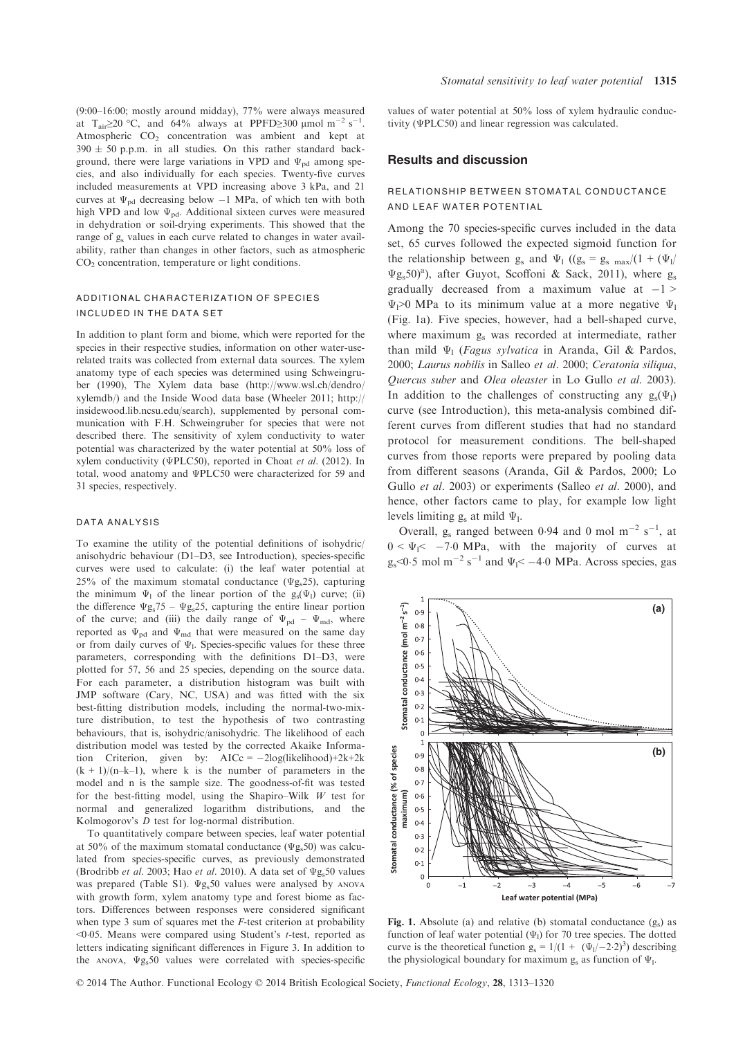(9:00–16:00; mostly around midday), 77% were always measured at T<sub>air</sub> $\geq$ 20 °C, and 64% always at PPFD $\geq$ 300 µmol m<sup>-2</sup> s<sup>-1</sup>. Atmospheric  $CO<sub>2</sub>$  concentration was ambient and kept at  $390 \pm 50$  p.p.m. in all studies. On this rather standard background, there were large variations in VPD and  $\Psi_{\rm{nd}}$  among species, and also individually for each species. Twenty-five curves included measurements at VPD increasing above 3 kPa, and 21 curves at  $\Psi_{\rm{nd}}$  decreasing below  $-1$  MPa, of which ten with both high VPD and low  $\Psi_{pd}$ . Additional sixteen curves were measured in dehydration or soil-drying experiments. This showed that the range of g<sub>s</sub> values in each curve related to changes in water availability, rather than changes in other factors, such as atmospheric CO<sub>2</sub> concentration, temperature or light conditions.

## ADDITIONAL CHARACTERIZATION OF SPECIES INCLUDED IN THE DATA SET

In addition to plant form and biome, which were reported for the species in their respective studies, information on other water-userelated traits was collected from external data sources. The xylem anatomy type of each species was determined using Schweingruber (1990), The Xylem data base (http://www.wsl.ch/dendro/ xylemdb/) and the Inside Wood data base (Wheeler 2011; http:// insidewood.lib.ncsu.edu/search), supplemented by personal communication with F.H. Schweingruber for species that were not described there. The sensitivity of xylem conductivity to water potential was characterized by the water potential at 50% loss of xylem conductivity (ΨPLC50), reported in Choat et al. (2012). In total, wood anatomy and ΨPLC50 were characterized for 59 and 31 species, respectively.

#### DATA ANALYSIS

To examine the utility of the potential definitions of isohydric/ anisohydric behaviour (D1–D3, see Introduction), species-specific curves were used to calculate: (i) the leaf water potential at 25% of the maximum stomatal conductance ( $\Psi$ g<sub>s</sub>25), capturing the minimum  $\Psi_1$  of the linear portion of the  $g_s(\Psi_1)$  curve; (ii) the difference  $\Psi g_s$ 75 –  $\Psi g_s$ 25, capturing the entire linear portion of the curve; and (iii) the daily range of  $\Psi_{\text{pd}} - \Psi_{\text{md}}$ , where reported as  $\Psi_{\rm pd}$  and  $\Psi_{\rm md}$  that were measured on the same day or from daily curves of  $\Psi$ <sub>1</sub>. Species-specific values for these three parameters, corresponding with the definitions D1–D3, were plotted for 57, 56 and 25 species, depending on the source data. For each parameter, a distribution histogram was built with JMP software (Cary, NC, USA) and was fitted with the six best-fitting distribution models, including the normal-two-mixture distribution, to test the hypothesis of two contrasting behaviours, that is, isohydric/anisohydric. The likelihood of each distribution model was tested by the corrected Akaike Information Criterion, given by:  $AICc = -2log(likelihood) + 2k + 2k$  $(k + 1)/(n-k-1)$ , where k is the number of parameters in the model and n is the sample size. The goodness-of-fit was tested for the best-fitting model, using the Shapiro–Wilk  $W$  test for normal and generalized logarithm distributions, and the Kolmogorov's D test for log-normal distribution.

To quantitatively compare between species, leaf water potential at 50% of the maximum stomatal conductance ( $\Psi$ g<sub>s</sub>50) was calculated from species-specific curves, as previously demonstrated (Brodribb et al. 2003; Hao et al. 2010). A data set of  $\Psi$ g<sub>s</sub>50 values was prepared (Table S1). Ψg<sub>s</sub>50 values were analysed by ANOVA with growth form, xylem anatomy type and forest biome as factors. Differences between responses were considered significant when type 3 sum of squares met the *F*-test criterion at probability  $<$ 0.05. Means were compared using Student's t-test, reported as letters indicating significant differences in Figure 3. In addition to the ANOVA,  $\Psi$ g<sub>s</sub>50 values were correlated with species-specific

values of water potential at 50% loss of xylem hydraulic conductivity (ΨPLC50) and linear regression was calculated.

## Results and discussion

## RELATIONSHIP BETWEEN STOMATAL CONDUCTANCE AND LEAF WATER POTENTIAL

Among the 70 species-specific curves included in the data set, 65 curves followed the expected sigmoid function for the relationship between g<sub>s</sub> and  $\Psi_1$  ((g<sub>s</sub> = g<sub>s max</sub>/(1 + ( $\Psi_1$ /  $\Psi$ g<sub>s</sub>50)<sup>a</sup>), after Guyot, Scoffoni & Sack, 2011), where g<sub>s</sub> gradually decreased from a maximum value at  $-1$  >  $\Psi$ <sub>1</sub>>0 MPa to its minimum value at a more negative  $\Psi$ <sub>1</sub> (Fig. 1a). Five species, however, had a bell-shaped curve, where maximum g, was recorded at intermediate, rather than mild  $\Psi_1$  (Fagus sylvatica in Aranda, Gil & Pardos, 2000; Laurus nobilis in Salleo et al. 2000; Ceratonia siliqua, Quercus suber and Olea oleaster in Lo Gullo et al. 2003). In addition to the challenges of constructing any  $g_s(\Psi_1)$ curve (see Introduction), this meta-analysis combined different curves from different studies that had no standard protocol for measurement conditions. The bell-shaped curves from those reports were prepared by pooling data from different seasons (Aranda, Gil & Pardos, 2000; Lo Gullo et al. 2003) or experiments (Salleo et al. 2000), and hence, other factors came to play, for example low light levels limiting  $g_s$  at mild  $\Psi_l$ .

Overall,  $g_s$  ranged between 0.94 and 0 mol m<sup>-2</sup> s<sup>-1</sup>, at  $0 < \Psi_1 < -7.0$  MPa, with the majority of curves at  $g_s$ <0.5 mol m<sup>-2</sup> s<sup>-1</sup> and  $\Psi_1$ < -4.0 MPa. Across species, gas



Fig. 1. Absolute (a) and relative (b) stomatal conductance  $(g_s)$  as function of leaf water potential  $(\Psi_1)$  for 70 tree species. The dotted curve is the theoretical function  $g_s = 1/(1 + (\Psi_1/-2.2)^3)$  describing the physiological boundary for maximum  $g_s$  as function of  $\Psi_1$ .

© 2014 The Author. Functional Ecology © 2014 British Ecological Society, Functional Ecology, 28, 1313–1320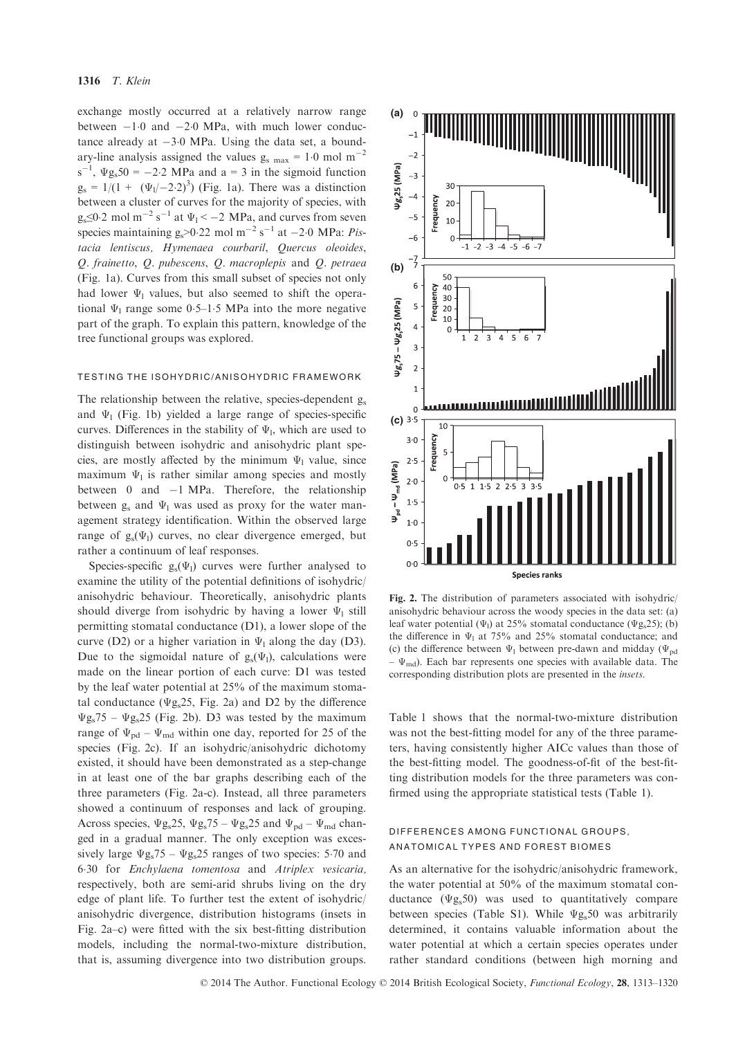exchange mostly occurred at a relatively narrow range between  $-1.0$  and  $-2.0$  MPa, with much lower conductance already at  $-3.0$  MPa. Using the data set, a boundary-line analysis assigned the values  $g_{\rm s,max} = 1.0$  mol m<sup>-2</sup>  $s^{-1}$ ,  $\Psi g_s 50 = -2.2$  MPa and  $a = 3$  in the sigmoid function  $g_s = 1/(1 + (\Psi_1/-2.2)^3)$  (Fig. 1a). There was a distinction between a cluster of curves for the majority of species, with  $g_s \leq 0.2$  mol m<sup>-2</sup> s<sup>-1</sup> at  $\Psi_1 < -2$  MPa, and curves from seven species maintaining  $g_s > 0.22$  mol m<sup>-2</sup> s<sup>-1</sup> at -2.0 MPa: *Pis*tacia lentiscus, Hymenaea courbaril, Quercus oleoides, Q. frainetto, Q. pubescens, Q. macroplepis and Q. petraea (Fig. 1a). Curves from this small subset of species not only had lower  $\Psi_1$  values, but also seemed to shift the operational  $\Psi_1$  range some 0.5–1.5 MPa into the more negative part of the graph. To explain this pattern, knowledge of the tree functional groups was explored.

#### TESTING THE ISOHYDRIC/ANISOHYDRIC FRAMEWORK

The relationship between the relative, species-dependent g<sub>s</sub> and  $\Psi_1$  (Fig. 1b) yielded a large range of species-specific curves. Differences in the stability of  $\Psi_1$ , which are used to distinguish between isohydric and anisohydric plant species, are mostly affected by the minimum  $\Psi_1$  value, since maximum  $\Psi_1$  is rather similar among species and mostly between 0 and  $-1$  MPa. Therefore, the relationship between  $g_s$  and  $\Psi_1$  was used as proxy for the water management strategy identification. Within the observed large range of  $g_s(\Psi_l)$  curves, no clear divergence emerged, but rather a continuum of leaf responses.

Species-specific  $g_s(\Psi_1)$  curves were further analysed to examine the utility of the potential definitions of isohydric/ anisohydric behaviour. Theoretically, anisohydric plants should diverge from isohydric by having a lower  $\Psi_1$  still permitting stomatal conductance (D1), a lower slope of the curve (D2) or a higher variation in  $\Psi_1$  along the day (D3). Due to the sigmoidal nature of  $g_s(\Psi_l)$ , calculations were made on the linear portion of each curve: D1 was tested by the leaf water potential at 25% of the maximum stomatal conductance ( $\Psi$ g<sub>s</sub>25, Fig. 2a) and D2 by the difference  $\Psi$ g<sub>s</sub>75 –  $\Psi$ g<sub>s</sub>25 (Fig. 2b). D3 was tested by the maximum range of  $\Psi_{\rm{nd}} - \Psi_{\rm{md}}$  within one day, reported for 25 of the species (Fig. 2c). If an isohydric/anisohydric dichotomy existed, it should have been demonstrated as a step-change in at least one of the bar graphs describing each of the three parameters (Fig. 2a-c). Instead, all three parameters showed a continuum of responses and lack of grouping. Across species,  $\Psi g_s$ 25,  $\Psi g_s$ 75 –  $\Psi g_s$ 25 and  $\Psi_{\rm pd}$  –  $\Psi_{\rm md}$  changed in a gradual manner. The only exception was excessively large  $\Psi g_s$ 75 –  $\Psi g_s$ 25 ranges of two species: 5.70 and 630 for Enchylaena tomentosa and Atriplex vesicaria, respectively, both are semi-arid shrubs living on the dry edge of plant life. To further test the extent of isohydric/ anisohydric divergence, distribution histograms (insets in Fig. 2a–c) were fitted with the six best-fitting distribution models, including the normal-two-mixture distribution, that is, assuming divergence into two distribution groups.



Fig. 2. The distribution of parameters associated with isohydric/ anisohydric behaviour across the woody species in the data set: (a) leaf water potential ( $\Psi_1$ ) at 25% stomatal conductance ( $\Psi$ g<sub>s</sub>25); (b) the difference in  $\Psi_1$  at 75% and 25% stomatal conductance; and (c) the difference between  $\Psi_1$  between pre-dawn and midday ( $\Psi_{\text{pd}}$  $-\Psi_{\text{md}}$ ). Each bar represents one species with available data. The corresponding distribution plots are presented in the insets.

Table 1 shows that the normal-two-mixture distribution was not the best-fitting model for any of the three parameters, having consistently higher AICc values than those of the best-fitting model. The goodness-of-fit of the best-fitting distribution models for the three parameters was confirmed using the appropriate statistical tests (Table 1).

## DIFFERENCES AMONG FUNCTIONAL GROUPS, ANATOMICAL TYPES AND FOREST BIOMES

As an alternative for the isohydric/anisohydric framework, the water potential at 50% of the maximum stomatal conductance  $(\Psi g_s 50)$  was used to quantitatively compare between species (Table S1). While  $\Psi g_s 50$  was arbitrarily determined, it contains valuable information about the water potential at which a certain species operates under rather standard conditions (between high morning and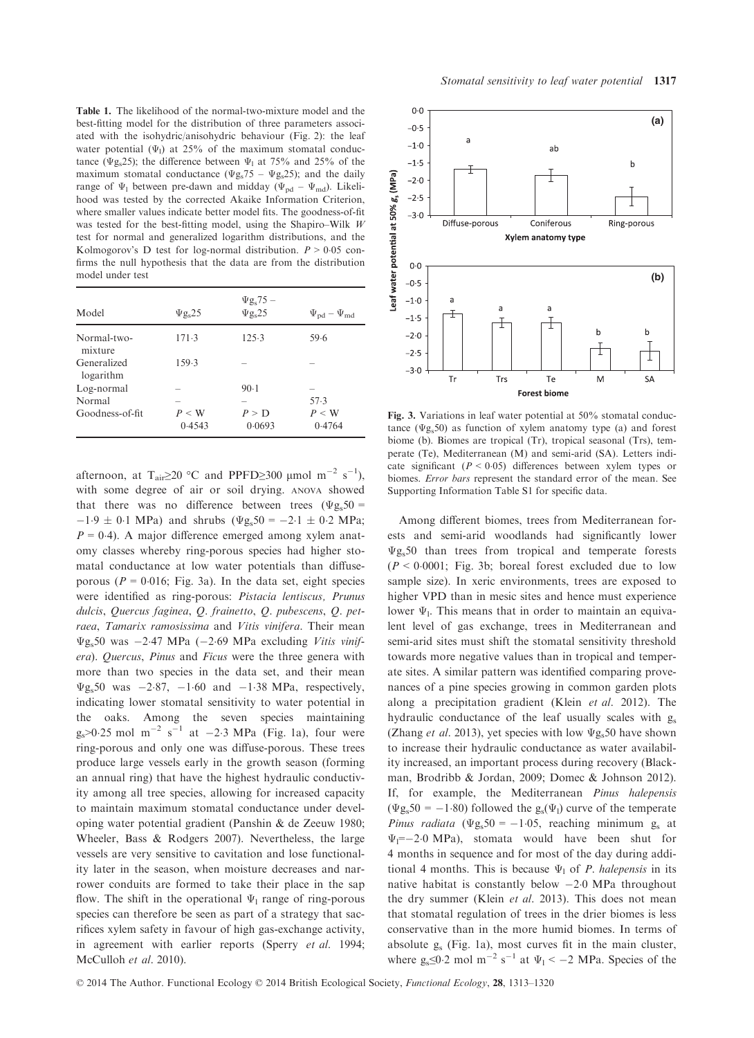Table 1. The likelihood of the normal-two-mixture model and the best-fitting model for the distribution of three parameters associated with the isohydric/anisohydric behaviour (Fig. 2): the leaf water potential ( $\Psi$ <sub>l</sub>) at 25% of the maximum stomatal conductance ( $\Psi$ g<sub>s</sub>25); the difference between  $\Psi_1$  at 75% and 25% of the maximum stomatal conductance ( $\Psi g_s$ 75 –  $\Psi g_s$ 25); and the daily range of  $\Psi_1$  between pre-dawn and midday ( $\Psi_{\text{pd}} - \Psi_{\text{md}}$ ). Likelihood was tested by the corrected Akaike Information Criterion, where smaller values indicate better model fits. The goodness-of-fit was tested for the best-fitting model, using the Shapiro–Wilk W test for normal and generalized logarithm distributions, and the Kolmogorov's D test for log-normal distribution.  $P > 0.05$  confirms the null hypothesis that the data are from the distribution model under test

| Model                    | $\Psi$ g <sub>s</sub> 25 | $\Psi$ g <sub>s</sub> 75 –<br>$\Psi$ g <sub>s</sub> 25 | $\Psi_{\rm pd} - \Psi_{\rm md}$ |
|--------------------------|--------------------------|--------------------------------------------------------|---------------------------------|
| Normal-two-<br>mixture   | 171.3                    | 125.3                                                  | 59.6                            |
| Generalized<br>logarithm | 159.3                    |                                                        |                                 |
| Log-normal               |                          | 90.1                                                   | -                               |
| Normal                   |                          |                                                        | 57.3                            |
| Goodness-of-fit          | $P \leq W$<br>0.4543     | P > D<br>0.0693                                        | $P \leq W$<br>0.4764            |

afternoon, at T<sub>air</sub>≥20 °C and PPFD≥300 µmol m<sup>-2</sup> s<sup>-1</sup>), with some degree of air or soil drying. ANOVA showed that there was no difference between trees ( $\Psi$ g<sub>s</sub>50 =  $-1.9 \pm 0.1$  MPa) and shrubs ( $\Psi$ g<sub>s</sub>50 = -2.1  $\pm$  0.2 MPa;  $P = 0.4$ ). A major difference emerged among xylem anatomy classes whereby ring-porous species had higher stomatal conductance at low water potentials than diffuseporous ( $P = 0.016$ ; Fig. 3a). In the data set, eight species were identified as ring-porous: Pistacia lentiscus, Prunus dulcis, Quercus faginea, Q. frainetto, Q. pubescens, Q. petraea, Tamarix ramosissima and Vitis vinifera. Their mean  $\Psi$ g<sub>s</sub>50 was -2.47 MPa (-2.69 MPa excluding Vitis vinifera). Quercus, Pinus and Ficus were the three genera with more than two species in the data set, and their mean  $\Psi$ g<sub>s</sub>50 was  $-2.87$ ,  $-1.60$  and  $-1.38$  MPa, respectively, indicating lower stomatal sensitivity to water potential in the oaks. Among the seven species maintaining  $g_s > 0.25$  mol m<sup>-2</sup> s<sup>-1</sup> at -2.3 MPa (Fig. 1a), four were ring-porous and only one was diffuse-porous. These trees produce large vessels early in the growth season (forming an annual ring) that have the highest hydraulic conductivity among all tree species, allowing for increased capacity to maintain maximum stomatal conductance under developing water potential gradient (Panshin & de Zeeuw 1980; Wheeler, Bass & Rodgers 2007). Nevertheless, the large vessels are very sensitive to cavitation and lose functionality later in the season, when moisture decreases and narrower conduits are formed to take their place in the sap flow. The shift in the operational  $\Psi_1$  range of ring-porous species can therefore be seen as part of a strategy that sacrifices xylem safety in favour of high gas-exchange activity, in agreement with earlier reports (Sperry et al. 1994; McCulloh et al. 2010).



Fig. 3. Variations in leaf water potential at 50% stomatal conductance ( $\Psi$ g<sub>s</sub>50) as function of xylem anatomy type (a) and forest biome (b). Biomes are tropical (Tr), tropical seasonal (Trs), temperate (Te), Mediterranean (M) and semi-arid (SA). Letters indicate significant ( $P < 0.05$ ) differences between xylem types or biomes. Error bars represent the standard error of the mean. See Supporting Information Table S1 for specific data.

Among different biomes, trees from Mediterranean forests and semi-arid woodlands had significantly lower  $\Psi$ g<sub>s</sub>50 than trees from tropical and temperate forests  $(P < 0.0001$ ; Fig. 3b; boreal forest excluded due to low sample size). In xeric environments, trees are exposed to higher VPD than in mesic sites and hence must experience lower  $\Psi_1$ . This means that in order to maintain an equivalent level of gas exchange, trees in Mediterranean and semi-arid sites must shift the stomatal sensitivity threshold towards more negative values than in tropical and temperate sites. A similar pattern was identified comparing provenances of a pine species growing in common garden plots along a precipitation gradient (Klein et al. 2012). The hydraulic conductance of the leaf usually scales with gs (Zhang et al. 2013), yet species with low  $\Psi$ g<sub>s</sub>50 have shown to increase their hydraulic conductance as water availability increased, an important process during recovery (Blackman, Brodribb & Jordan, 2009; Domec & Johnson 2012). If, for example, the Mediterranean Pinus halepensis  $(\Psi g_s 50 = -1.80)$  followed the  $g_s(\Psi_l)$  curve of the temperate *Pinus radiata* ( $\Psi$ g<sub>s</sub>50 = -1.05, reaching minimum g<sub>s</sub> at  $\Psi_1=-2.0 \text{ MPa}$ , stomata would have been shut for 4 months in sequence and for most of the day during additional 4 months. This is because  $\Psi_1$  of *P. halepensis* in its native habitat is constantly below  $-2.0$  MPa throughout the dry summer (Klein et al. 2013). This does not mean that stomatal regulation of trees in the drier biomes is less conservative than in the more humid biomes. In terms of absolute gs (Fig. 1a), most curves fit in the main cluster, where  $g_s \le 0.2$  mol m<sup>-2</sup> s<sup>-1</sup> at  $\Psi_1 < -2$  MPa. Species of the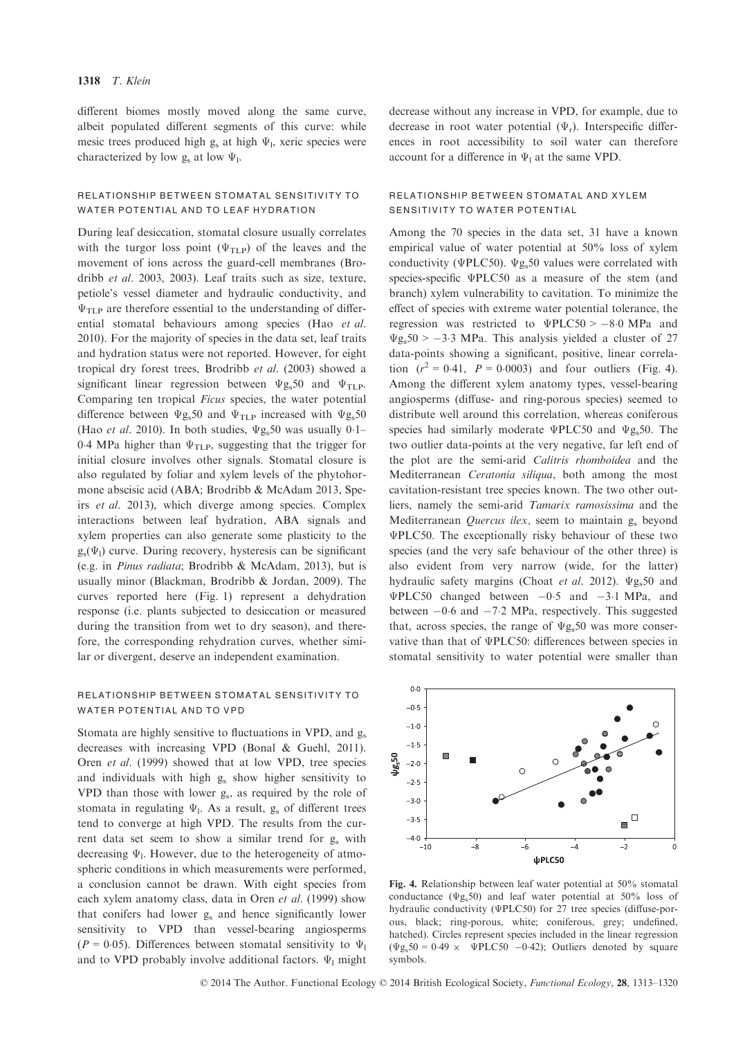different biomes mostly moved along the same curve, albeit populated different segments of this curve: while mesic trees produced high  $g_s$  at high  $\Psi_l$ , xeric species were characterized by low  $g_s$  at low  $\Psi_1$ .

## RELATIONSHIP BETWEEN STOMATAL SENSITIVITY TO WATER POTENTIAL AND TO LEAF HYDRATION

During leaf desiccation, stomatal closure usually correlates with the turgor loss point ( $\Psi$ <sub>TLP</sub>) of the leaves and the movement of ions across the guard-cell membranes (Brodribb et al. 2003, 2003). Leaf traits such as size, texture, petiole's vessel diameter and hydraulic conductivity, and  $\Psi$ <sub>TLP</sub> are therefore essential to the understanding of differential stomatal behaviours among species (Hao et al. 2010). For the majority of species in the data set, leaf traits and hydration status were not reported. However, for eight tropical dry forest trees, Brodribb et al. (2003) showed a significant linear regression between  $\Psi$ g<sub>s</sub>50 and  $\Psi$ <sub>TLP</sub>. Comparing ten tropical Ficus species, the water potential difference between  $\Psi$ g<sub>s</sub>50 and  $\Psi$ <sub>TLP</sub> increased with  $\Psi$ g<sub>s</sub>50 (Hao et al. 2010). In both studies,  $\Psi$ g<sub>s</sub>50 was usually 0.1– 0.4 MPa higher than  $\Psi$ <sub>TLP</sub>, suggesting that the trigger for initial closure involves other signals. Stomatal closure is also regulated by foliar and xylem levels of the phytohormone abscisic acid (ABA; Brodribb & McAdam 2013, Speirs et al. 2013), which diverge among species. Complex interactions between leaf hydration, ABA signals and xylem properties can also generate some plasticity to the  $g_s(\Psi_l)$  curve. During recovery, hysteresis can be significant (e.g. in Pinus radiata; Brodribb & McAdam, 2013), but is usually minor (Blackman, Brodribb & Jordan, 2009). The curves reported here (Fig. 1) represent a dehydration response (i.e. plants subjected to desiccation or measured during the transition from wet to dry season), and therefore, the corresponding rehydration curves, whether similar or divergent, deserve an independent examination.

## RELATIONSHIP BETWEEN STOMATAL SENSITIVITY TO WATER POTENTIAL AND TO VPD

Stomata are highly sensitive to fluctuations in VPD, and  $g_s$ decreases with increasing VPD (Bonal & Guehl, 2011). Oren et al. (1999) showed that at low VPD, tree species and individuals with high  $g_s$  show higher sensitivity to VPD than those with lower gs, as required by the role of stomata in regulating  $\Psi$ <sub>1</sub>. As a result,  $g_s$  of different trees tend to converge at high VPD. The results from the current data set seem to show a similar trend for g<sub>s</sub> with decreasing  $\Psi$ <sub>1</sub>. However, due to the heterogeneity of atmospheric conditions in which measurements were performed, a conclusion cannot be drawn. With eight species from each xylem anatomy class, data in Oren et al. (1999) show that conifers had lower gs and hence significantly lower sensitivity to VPD than vessel-bearing angiosperms ( $P = 0.05$ ). Differences between stomatal sensitivity to  $\Psi_1$ and to VPD probably involve additional factors.  $\Psi_1$  might decrease without any increase in VPD, for example, due to decrease in root water potential  $(\Psi_r)$ . Interspecific differences in root accessibility to soil water can therefore account for a difference in  $\Psi_1$  at the same VPD.

## RELATIONSHIP BETWEEN STOMATAL AND XYLEM SENSITIVITY TO WATER POTENTIAL

Among the 70 species in the data set, 31 have a known empirical value of water potential at 50% loss of xylem conductivity (ΨPLC50).  $\Psi$ g<sub>s</sub>50 values were correlated with species-specific ΨPLC50 as a measure of the stem (and branch) xylem vulnerability to cavitation. To minimize the effect of species with extreme water potential tolerance, the regression was restricted to  $\Psi P L C 50 > -8.0 \text{ MPa}$  and  $\Psi$ g<sub>s</sub>50 > -3.3 MPa. This analysis yielded a cluster of 27 data-points showing a significant, positive, linear correlation  $(r^2 = 0.41, P = 0.0003)$  and four outliers (Fig. 4). Among the different xylem anatomy types, vessel-bearing angiosperms (diffuse- and ring-porous species) seemed to distribute well around this correlation, whereas coniferous species had similarly moderate ΨPLC50 and  $\Psi$ g<sub>s</sub>50. The two outlier data-points at the very negative, far left end of the plot are the semi-arid Calitris rhomboidea and the Mediterranean Ceratonia siliqua, both among the most cavitation-resistant tree species known. The two other outliers, namely the semi-arid Tamarix ramosissima and the Mediterranean *Quercus ilex*, seem to maintain  $g_s$  beyond ΨPLC50. The exceptionally risky behaviour of these two species (and the very safe behaviour of the other three) is also evident from very narrow (wide, for the latter) hydraulic safety margins (Choat et al. 2012).  $\Psi$ g<sub>s</sub>50 and  $\Psi$ PLC50 changed between  $-0.5$  and  $-3.1$  MPa, and between  $-0.6$  and  $-7.2$  MPa, respectively. This suggested that, across species, the range of  $\Psi$ g<sub>s</sub>50 was more conservative than that of ΨPLC50: differences between species in stomatal sensitivity to water potential were smaller than



Fig. 4. Relationship between leaf water potential at 50% stomatal conductance ( $\Psi$ g<sub>s</sub>50) and leaf water potential at 50% loss of hydraulic conductivity (ΨPLC50) for 27 tree species (diffuse-porous, black; ring-porous, white; coniferous, grey; undefined, hatched). Circles represent species included in the linear regression  $(\Psi g_s 50 = 0.49 \times \Psi P L C 50 - 0.42)$ ; Outliers denoted by square symbols.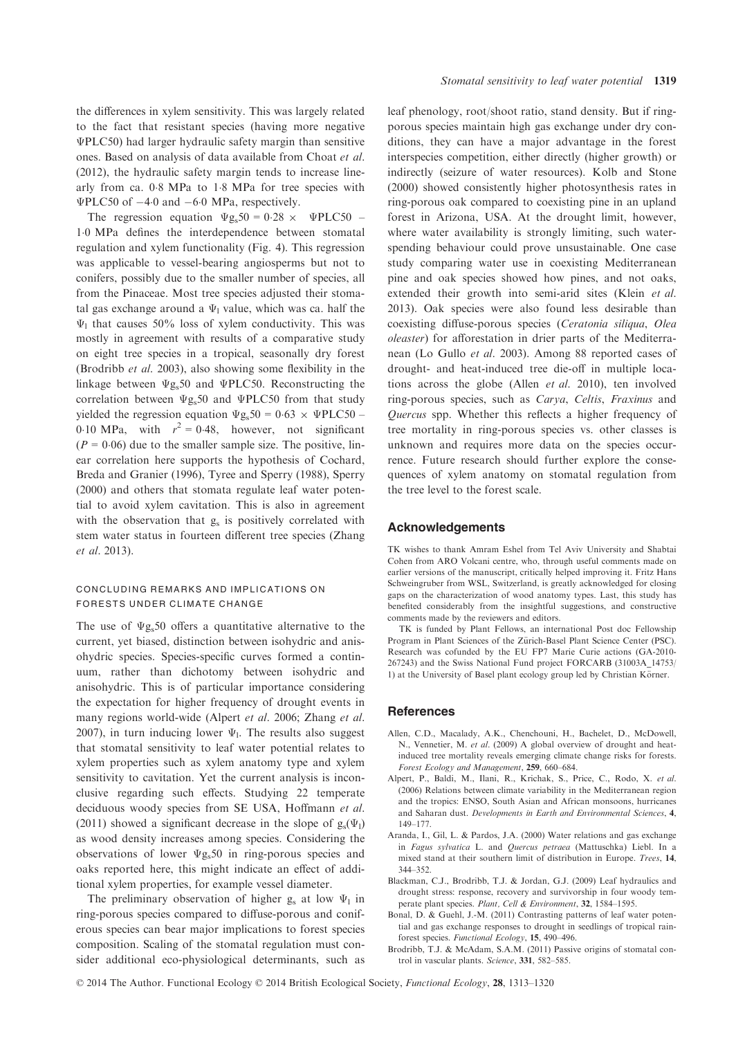the differences in xylem sensitivity. This was largely related to the fact that resistant species (having more negative ΨPLC50) had larger hydraulic safety margin than sensitive ones. Based on analysis of data available from Choat et al. (2012), the hydraulic safety margin tends to increase linearly from ca. 08 MPa to 18 MPa for tree species with  $\Psi$ PLC50 of  $-4.0$  and  $-6.0$  MPa, respectively.

The regression equation  $\Psi g_s 50 = 0.28 \times \Psi P L C 50$  – 10 MPa defines the interdependence between stomatal regulation and xylem functionality (Fig. 4). This regression was applicable to vessel-bearing angiosperms but not to conifers, possibly due to the smaller number of species, all from the Pinaceae. Most tree species adjusted their stomatal gas exchange around a  $\Psi_1$  value, which was ca. half the  $\Psi_1$  that causes 50% loss of xylem conductivity. This was mostly in agreement with results of a comparative study on eight tree species in a tropical, seasonally dry forest (Brodribb et al. 2003), also showing some flexibility in the linkage between  $\Psi$ g<sub>s</sub>50 and  $\Psi$ PLC50. Reconstructing the correlation between Ψgs50 and ΨPLC50 from that study yielded the regression equation  $\Psi$ g<sub>s</sub>50 = 0.63  $\times$  ΨPLC50 – 0.10 MPa, with  $r^2 = 0.48$ , however, not significant  $(P = 0.06)$  due to the smaller sample size. The positive, linear correlation here supports the hypothesis of Cochard, Breda and Granier (1996), Tyree and Sperry (1988), Sperry (2000) and others that stomata regulate leaf water potential to avoid xylem cavitation. This is also in agreement with the observation that  $g_s$  is positively correlated with stem water status in fourteen different tree species (Zhang et al. 2013).

## CONCLUDING REMARKS AND IMPLICATIONS ON FORESTS UNDER CLIMATE CHANGE

The use of  $\Psi$ g<sub>s</sub>50 offers a quantitative alternative to the current, yet biased, distinction between isohydric and anisohydric species. Species-specific curves formed a continuum, rather than dichotomy between isohydric and anisohydric. This is of particular importance considering the expectation for higher frequency of drought events in many regions world-wide (Alpert et al. 2006; Zhang et al. 2007), in turn inducing lower  $\Psi_1$ . The results also suggest that stomatal sensitivity to leaf water potential relates to xylem properties such as xylem anatomy type and xylem sensitivity to cavitation. Yet the current analysis is inconclusive regarding such effects. Studying 22 temperate deciduous woody species from SE USA, Hoffmann et al. (2011) showed a significant decrease in the slope of  $g_s(\Psi_1)$ as wood density increases among species. Considering the observations of lower  $\Psi$ g<sub>s</sub>50 in ring-porous species and oaks reported here, this might indicate an effect of additional xylem properties, for example vessel diameter.

The preliminary observation of higher g<sub>s</sub> at low  $\Psi_1$  in ring-porous species compared to diffuse-porous and coniferous species can bear major implications to forest species composition. Scaling of the stomatal regulation must consider additional eco-physiological determinants, such as leaf phenology, root/shoot ratio, stand density. But if ringporous species maintain high gas exchange under dry conditions, they can have a major advantage in the forest interspecies competition, either directly (higher growth) or indirectly (seizure of water resources). Kolb and Stone (2000) showed consistently higher photosynthesis rates in ring-porous oak compared to coexisting pine in an upland forest in Arizona, USA. At the drought limit, however, where water availability is strongly limiting, such waterspending behaviour could prove unsustainable. One case study comparing water use in coexisting Mediterranean pine and oak species showed how pines, and not oaks, extended their growth into semi-arid sites (Klein et al. 2013). Oak species were also found less desirable than coexisting diffuse-porous species (Ceratonia siliqua, Olea oleaster) for afforestation in drier parts of the Mediterranean (Lo Gullo et al. 2003). Among 88 reported cases of drought- and heat-induced tree die-off in multiple locations across the globe (Allen et al. 2010), ten involved ring-porous species, such as Carya, Celtis, Fraxinus and Quercus spp. Whether this reflects a higher frequency of tree mortality in ring-porous species vs. other classes is unknown and requires more data on the species occurrence. Future research should further explore the consequences of xylem anatomy on stomatal regulation from the tree level to the forest scale.

#### Acknowledgements

TK wishes to thank Amram Eshel from Tel Aviv University and Shabtai Cohen from ARO Volcani centre, who, through useful comments made on earlier versions of the manuscript, critically helped improving it. Fritz Hans Schweingruber from WSL, Switzerland, is greatly acknowledged for closing gaps on the characterization of wood anatomy types. Last, this study has benefited considerably from the insightful suggestions, and constructive comments made by the reviewers and editors.

TK is funded by Plant Fellows, an international Post doc Fellowship Program in Plant Sciences of the Zürich-Basel Plant Science Center (PSC). Research was cofunded by the EU FP7 Marie Curie actions (GA-2010- 267243) and the Swiss National Fund project FORCARB (31003A\_14753/ 1) at the University of Basel plant ecology group led by Christian Körner.

#### **References**

- Allen, C.D., Macalady, A.K., Chenchouni, H., Bachelet, D., McDowell, N., Vennetier, M. et al. (2009) A global overview of drought and heatinduced tree mortality reveals emerging climate change risks for forests. Forest Ecology and Management, 259, 660–684.
- Alpert, P., Baldi, M., Ilani, R., Krichak, S., Price, C., Rodo, X. et al. (2006) Relations between climate variability in the Mediterranean region and the tropics: ENSO, South Asian and African monsoons, hurricanes and Saharan dust. Developments in Earth and Environmental Sciences, 4, 149–177.
- Aranda, I., Gil, L. & Pardos, J.A. (2000) Water relations and gas exchange in Fagus sylvatica L. and Quercus petraea (Mattuschka) Liebl. In a mixed stand at their southern limit of distribution in Europe. Trees, 14, 344–352.
- Blackman, C.J., Brodribb, T.J. & Jordan, G.J. (2009) Leaf hydraulics and drought stress: response, recovery and survivorship in four woody temperate plant species. Plant, Cell & Environment, 32, 1584–1595.
- Bonal, D. & Guehl, J.-M. (2011) Contrasting patterns of leaf water potential and gas exchange responses to drought in seedlings of tropical rainforest species. Functional Ecology, 15, 490–496.
- Brodribb, T.J. & McAdam, S.A.M. (2011) Passive origins of stomatal control in vascular plants. Science, 331, 582–585.